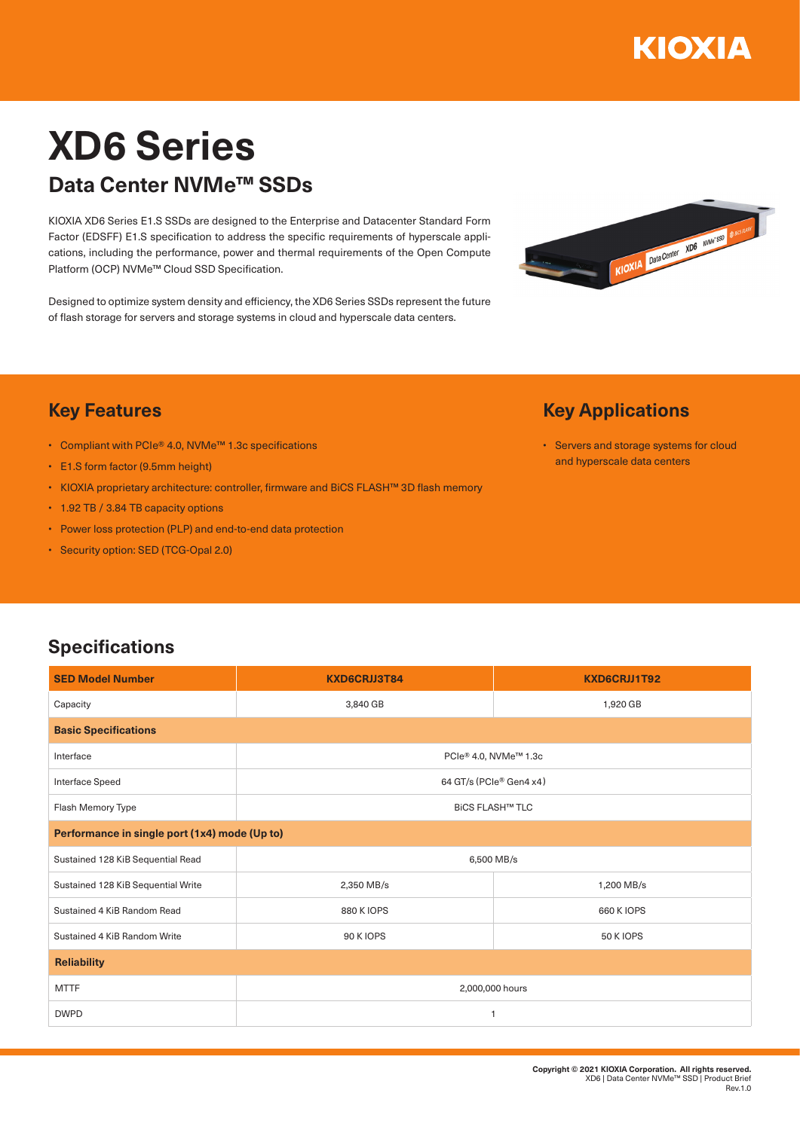

# **XD6 Series Data Center NVMe™ SSDs**

KIOXIA XD6 Series E1.S SSDs are designed to the Enterprise and Datacenter Standard Form Factor (EDSFF) E1.S specification to address the specific requirements of hyperscale applications, including the performance, power and thermal requirements of the Open Compute Platform (OCP) NVMe™ Cloud SSD Specification.

Designed to optimize system density and efficiency, the XD6 Series SSDs represent the future of flash storage for servers and storage systems in cloud and hyperscale data centers.



### **Key Features**

- Compliant with PCIe® 4.0, NVMe™ 1.3c specifications
- E1.S form factor (9.5mm height)
- KIOXIA proprietary architecture: controller, firmware and BiCS FLASH™ 3D flash memory
- 1.92 TB / 3.84 TB capacity options
- Power loss protection (PLP) and end-to-end data protection
- Security option: SED (TCG-Opal 2.0)

# **Key Applications**

• Servers and storage systems for cloud and hyperscale data centers

### **Specifications**

| <b>SED Model Number</b>                       | KXD6CRJJ3T84            | KXD6CRJJ1T92     |  |
|-----------------------------------------------|-------------------------|------------------|--|
| Capacity                                      | 3,840 GB                | 1,920 GB         |  |
| <b>Basic Specifications</b>                   |                         |                  |  |
| Interface                                     | PCIe® 4.0, NVMe™ 1.3c   |                  |  |
| Interface Speed                               | 64 GT/s (PCIe® Gen4 x4) |                  |  |
| Flash Memory Type                             | <b>BICS FLASH™ TLC</b>  |                  |  |
| Performance in single port (1x4) mode (Up to) |                         |                  |  |
| Sustained 128 KiB Sequential Read             | 6,500 MB/s              |                  |  |
| Sustained 128 KiB Sequential Write            | 2,350 MB/s              | 1,200 MB/s       |  |
| Sustained 4 KiB Random Read                   | 880 K IOPS              | 660 K IOPS       |  |
| Sustained 4 KiB Random Write                  | <b>90 K IOPS</b>        | <b>50 K IOPS</b> |  |
| <b>Reliability</b>                            |                         |                  |  |
| <b>MTTF</b>                                   | 2,000,000 hours         |                  |  |
| <b>DWPD</b>                                   | 1                       |                  |  |